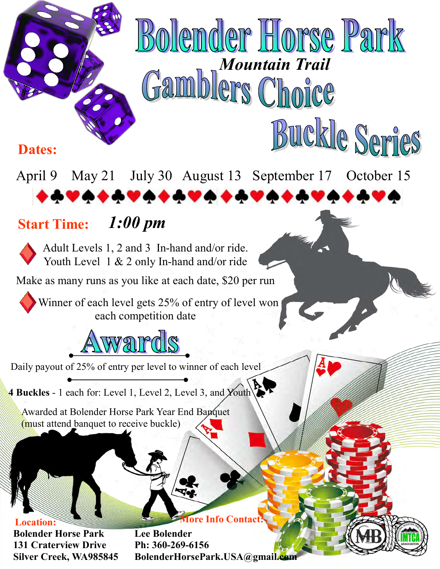

Winner of each level gets 25% of entry of level won each competition date

## wards

Daily payout of 25% of entry per level to winner of each level

**4 Buckles** - 1 each for: Level 1, Level 2, Level 3, and Youth

Awarded at Bolender Horse Park Year End Banquet (must attend banquet to receive buckle)

**Bolender Horse Park 131 Craterview Drive Silver Creek, WA985845 Location:** 

**More Info Contact:**

**Lee Bolender Ph: 360-269-6156 BolenderHorsePark.USA@gmail.com**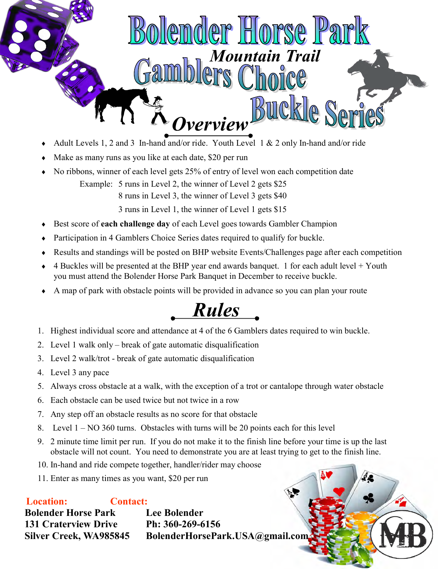

- Adult Levels 1, 2 and 3 In-hand and/or ride. Youth Level 1 & 2 only In-hand and/or ride
- Make as many runs as you like at each date, \$20 per run
- No ribbons, winner of each level gets 25% of entry of level won each competition date Example: 5 runs in Level 2, the winner of Level 2 gets \$25 8 runs in Level 3, the winner of Level 3 gets \$40

3 runs in Level 1, the winner of Level 1 gets \$15

- Best score of **each challenge day** of each Level goes towards Gambler Champion
- Participation in 4 Gamblers Choice Series dates required to qualify for buckle.
- Results and standings will be posted on BHP website Events/Challenges page after each competition
- 4 Buckles will be presented at the BHP year end awards banquet. 1 for each adult level + Youth you must attend the Bolender Horse Park Banquet in December to receive buckle.
- A map of park with obstacle points will be provided in advance so you can plan your route

*Rules*

- 1. Highest individual score and attendance at 4 of the 6 Gamblers dates required to win buckle.
- 2. Level 1 walk only break of gate automatic disqualification
- 3. Level 2 walk/trot break of gate automatic disqualification
- 4. Level 3 any pace
- 5. Always cross obstacle at a walk, with the exception of a trot or cantalope through water obstacle
- 6. Each obstacle can be used twice but not twice in a row
- 7. Any step off an obstacle results as no score for that obstacle
- 8. Level 1 NO 360 turns. Obstacles with turns will be 20 points each for this level
- 9. 2 minute time limit per run. If you do not make it to the finish line before your time is up the last obstacle will not count. You need to demonstrate you are at least trying to get to the finish line.
- 10. In-hand and ride compete together, handler/rider may choose
- 11. Enter as many times as you want, \$20 per run

**Bolender Horse Park 131 Craterview Drive Silver Creek, WA985845 Location: Lee Bolender Ph: 360-269-6156 BolenderHorsePark.USA@gmail.com Contact:**